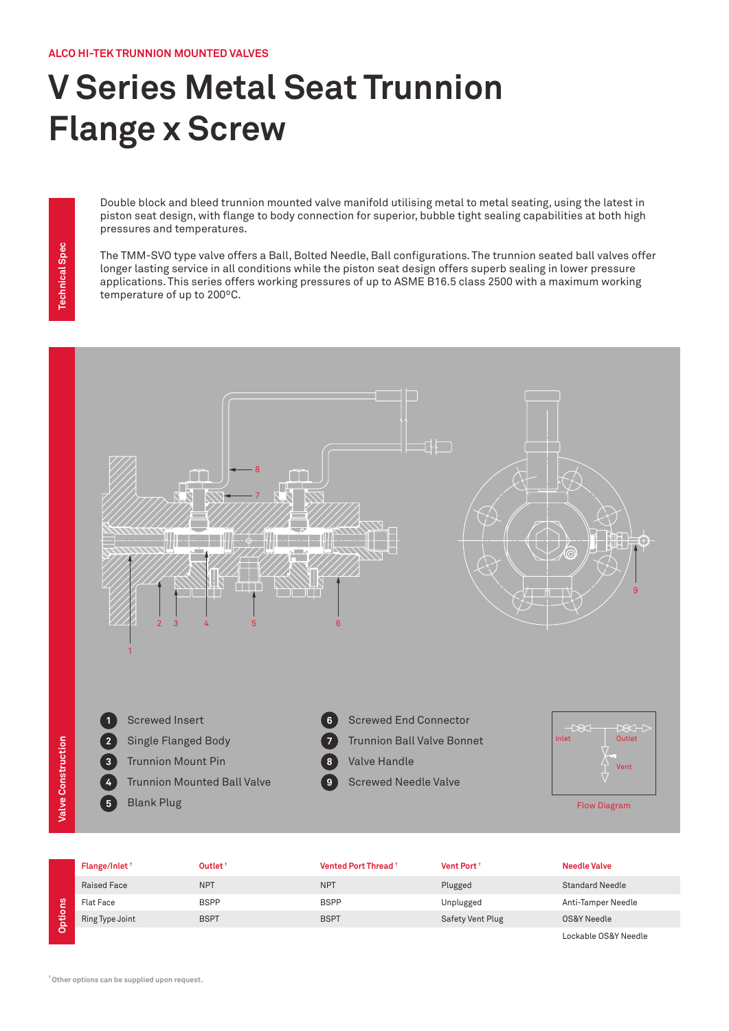## **V Series Metal Seat Trunnion Flange x Screw**

Double block and bleed trunnion mounted valve manifold utilising metal to metal seating, using the latest in piston seat design, with flange to body connection for superior, bubble tight sealing capabilities at both high pressures and temperatures.

The TMM-SVO type valve offers a Ball, Bolted Needle, Ball configurations. The trunnion seated ball valves offer longer lasting service in all conditions while the piston seat design offers superb sealing in lower pressure applications. This series offers working pressures of up to ASME B16.5 class 2500 with a maximum working temperature of up to 200ºC.



|                | Flange/Inlet <sup>+</sup> | Outlet <sup>+</sup> | Vented Port Thread <sup>+</sup> | Vent Port <sup>+</sup>  | <b>Needle Valve</b>    |
|----------------|---------------------------|---------------------|---------------------------------|-------------------------|------------------------|
| <b>Options</b> | <b>Raised Face</b>        | <b>NPT</b>          | <b>NPT</b>                      | Plugged                 | <b>Standard Needle</b> |
|                | <b>Flat Face</b>          | <b>BSPP</b>         | <b>BSPP</b>                     | Unplugged               | Anti-Tamper Needle     |
|                | Ring Type Joint           | <b>BSPT</b>         | <b>BSPT</b>                     | <b>Safety Vent Plug</b> | OS&Y Needle            |
|                |                           |                     |                                 |                         | Lockable OS&Y Needle   |

**Technical Spec Technical Spec**